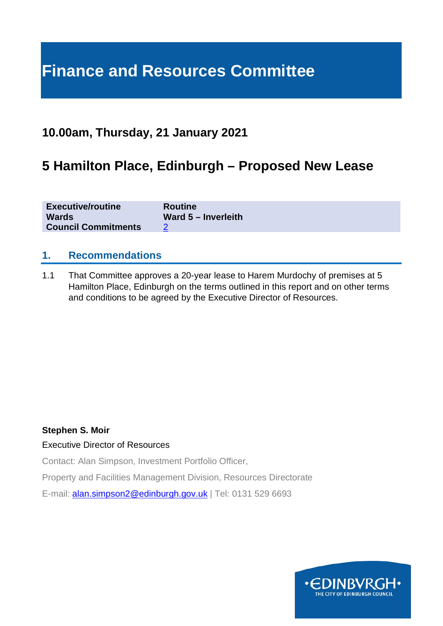# **Finance and Resources Committee**

# **10.00am, Thursday, 21 January 2021**

# **5 Hamilton Place, Edinburgh – Proposed New Lease**

| <b>Executive/routine</b>   | <b>Routine</b>        |
|----------------------------|-----------------------|
| <b>Wards</b>               | Ward $5 -$ Inverleith |
| <b>Council Commitments</b> |                       |

#### **1. Recommendations**

1.1 That Committee approves a 20-year lease to Harem Murdochy of premises at 5 Hamilton Place, Edinburgh on the terms outlined in this report and on other terms and conditions to be agreed by the Executive Director of Resources.

#### **Stephen S. Moir**

#### Executive Director of Resources

Contact: Alan Simpson, Investment Portfolio Officer,

Property and Facilities Management Division, Resources Directorate

E-mail: [alan.simpson2@edinburgh.gov.uk](mailto:alan.simpson2@edinburgh.gov.uk) | Tel: 0131 529 6693

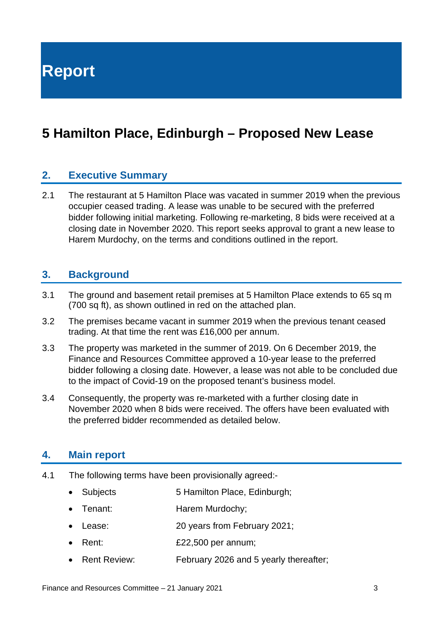**Report**

# **5 Hamilton Place, Edinburgh – Proposed New Lease**

#### **2. Executive Summary**

2.1 The restaurant at 5 Hamilton Place was vacated in summer 2019 when the previous occupier ceased trading. A lease was unable to be secured with the preferred bidder following initial marketing. Following re-marketing, 8 bids were received at a closing date in November 2020. This report seeks approval to grant a new lease to Harem Murdochy, on the terms and conditions outlined in the report.

#### **3. Background**

- 3.1 The ground and basement retail premises at 5 Hamilton Place extends to 65 sq m (700 sq ft), as shown outlined in red on the attached plan.
- 3.2 The premises became vacant in summer 2019 when the previous tenant ceased trading. At that time the rent was £16,000 per annum.
- 3.3 The property was marketed in the summer of 2019. On 6 December 2019, the Finance and Resources Committee approved a 10-year lease to the preferred bidder following a closing date. However, a lease was not able to be concluded due to the impact of Covid-19 on the proposed tenant's business model.
- 3.4 Consequently, the property was re-marketed with a further closing date in November 2020 when 8 bids were received. The offers have been evaluated with the preferred bidder recommended as detailed below.

#### **4. Main report**

- 4.1 The following terms have been provisionally agreed:-
	- Subjects 5 Hamilton Place, Edinburgh:
	- Tenant: Harem Murdochy:
	- Lease: 20 years from February 2021;
	- Rent: £22,500 per annum;
	- Rent Review: February 2026 and 5 yearly thereafter;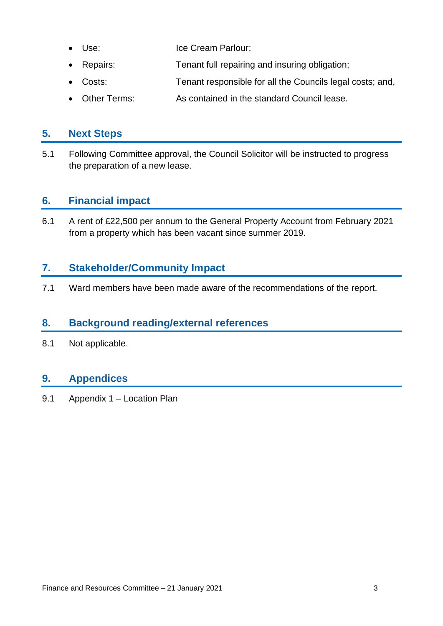- Use: Ice Cream Parlour;
- Repairs: Tenant full repairing and insuring obligation;
- Costs: Tenant responsible for all the Councils legal costs; and,
- Other Terms: As contained in the standard Council lease.

### **5. Next Steps**

5.1 Following Committee approval, the Council Solicitor will be instructed to progress the preparation of a new lease.

# **6. Financial impact**

6.1 A rent of £22,500 per annum to the General Property Account from February 2021 from a property which has been vacant since summer 2019.

# **7. Stakeholder/Community Impact**

7.1 Ward members have been made aware of the recommendations of the report.

# **8. Background reading/external references**

8.1 Not applicable.

# **9. Appendices**

9.1 Appendix 1 – Location Plan